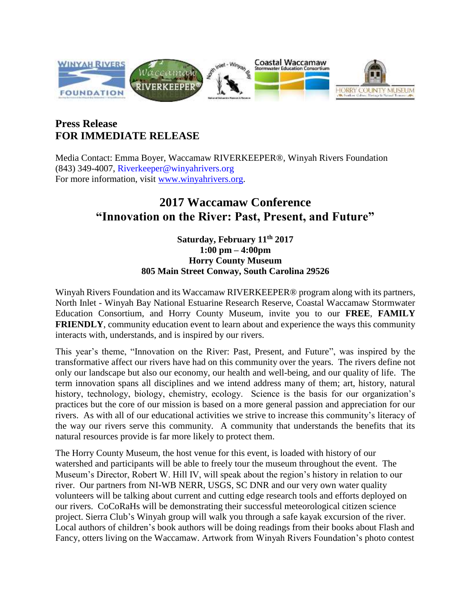

## **Press Release FOR IMMEDIATE RELEASE**

Media Contact: Emma Boyer, Waccamaw RIVERKEEPER®, Winyah Rivers Foundation (843) 349-4007, Riverkeeper@winyahrivers.org For more information, visit [www.winyahrivers.org.](http://www.winyahrivers.org/)

## **2017 Waccamaw Conference "Innovation on the River: Past, Present, and Future"**

## **Saturday, February 11th 2017 1:00 pm – 4:00pm Horry County Museum 805 Main Street Conway, South Carolina 29526**

Winyah Rivers Foundation and its Waccamaw RIVERKEEPER® program along with its partners, North Inlet - Winyah Bay National Estuarine Research Reserve, Coastal Waccamaw Stormwater Education Consortium, and Horry County Museum, invite you to our **FREE**, **FAMILY FRIENDLY**, community education event to learn about and experience the ways this community interacts with, understands, and is inspired by our rivers.

This year's theme, "Innovation on the River: Past, Present, and Future", was inspired by the transformative affect our rivers have had on this community over the years. The rivers define not only our landscape but also our economy, our health and well-being, and our quality of life. The term innovation spans all disciplines and we intend address many of them; art, history, natural history, technology, biology, chemistry, ecology. Science is the basis for our organization's practices but the core of our mission is based on a more general passion and appreciation for our rivers. As with all of our educational activities we strive to increase this community's literacy of the way our rivers serve this community. A community that understands the benefits that its natural resources provide is far more likely to protect them.

The Horry County Museum, the host venue for this event, is loaded with history of our watershed and participants will be able to freely tour the museum throughout the event. The Museum's Director, Robert W. Hill IV, will speak about the region's history in relation to our river. Our partners from NI-WB NERR, USGS, SC DNR and our very own water quality volunteers will be talking about current and cutting edge research tools and efforts deployed on our rivers. CoCoRaHs will be demonstrating their successful meteorological citizen science project. Sierra Club's Winyah group will walk you through a safe kayak excursion of the river. Local authors of children's book authors will be doing readings from their books about Flash and Fancy, otters living on the Waccamaw. Artwork from Winyah Rivers Foundation's photo contest